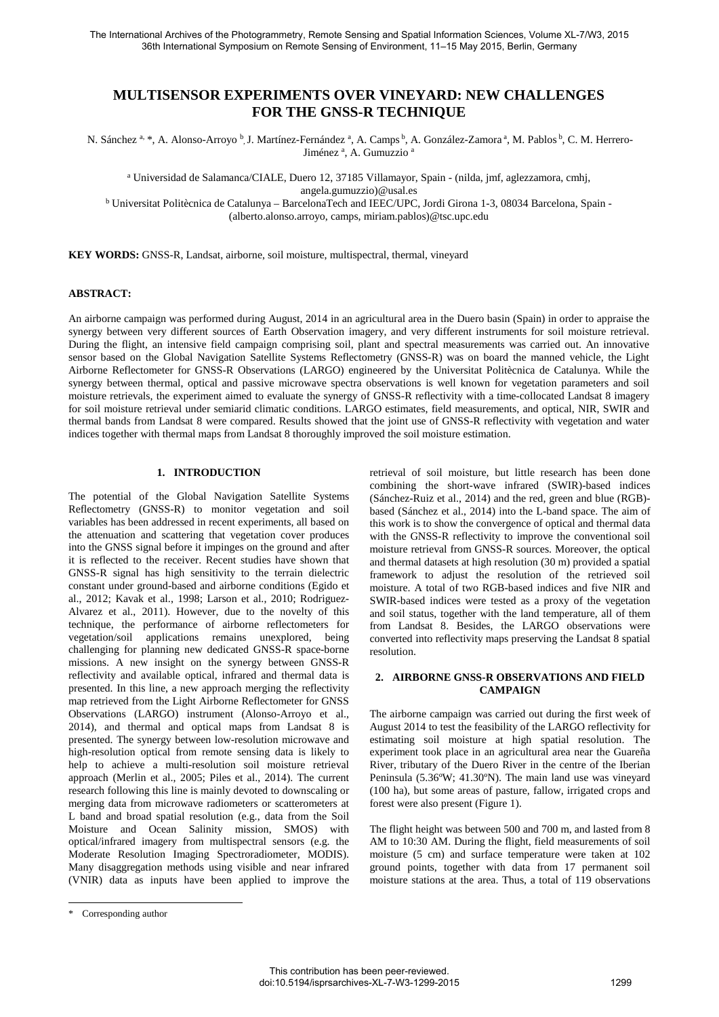# **MULTISENSOR EXPERIMENTS OVER VINEYARD: NEW CHALLENGES FOR THE GNSS-R TECHNIQUE**

N. Sánchez a, \*, A. Alonso-Arroyo b, J. Martínez-Fernández a, A. Camps b, A. González-Zamora a, M. Pablos b, C. M. Herrero-Jiménez<sup>a</sup>, A. Gumuzzio<sup>a</sup>

<sup>a</sup> Universidad de Salamanca/CIALE, Duero 12, 37185 Villamayor, Spain - (nilda, jmf, aglezzamora, cmhj, angela.gumuzzio)@usal.es

<sup>b</sup> Universitat Politècnica de Catalunya – BarcelonaTech and IEEC/UPC, Jordi Girona 1-3, 08034 Barcelona, Spain - (alberto.alonso.arroyo, camps, miriam.pablos)@tsc.upc.edu

**KEY WORDS:** GNSS-R, Landsat, airborne, soil moisture, multispectral, thermal, vineyard

#### **ABSTRACT:**

An airborne campaign was performed during August, 2014 in an agricultural area in the Duero basin (Spain) in order to appraise the synergy between very different sources of Earth Observation imagery, and very different instruments for soil moisture retrieval. During the flight, an intensive field campaign comprising soil, plant and spectral measurements was carried out. An innovative sensor based on the Global Navigation Satellite Systems Reflectometry (GNSS-R) was on board the manned vehicle, the Light Airborne Reflectometer for GNSS-R Observations (LARGO) engineered by the Universitat Politècnica de Catalunya. While the synergy between thermal, optical and passive microwave spectra observations is well known for vegetation parameters and soil moisture retrievals, the experiment aimed to evaluate the synergy of GNSS-R reflectivity with a time-collocated Landsat 8 imagery for soil moisture retrieval under semiarid climatic conditions. LARGO estimates, field measurements, and optical, NIR, SWIR and thermal bands from Landsat 8 were compared. Results showed that the joint use of GNSS-R reflectivity with vegetation and water indices together with thermal maps from Landsat 8 thoroughly improved the soil moisture estimation.

# **1. INTRODUCTION**

The potential of the Global Navigation Satellite Systems Reflectometry (GNSS-R) to monitor vegetation and soil variables has been addressed in recent experiments, all based on the attenuation and scattering that vegetation cover produces into the GNSS signal before it impinges on the ground and after it is reflected to the receiver. Recent studies have shown that GNSS-R signal has high sensitivity to the terrain dielectric constant under ground-based and airborne conditions (Egido et al., 2012; Kavak et al., 1998; Larson et al., 2010; Rodriguez-Alvarez et al., 2011). However, due to the novelty of this technique, the performance of airborne reflectometers for vegetation/soil applications remains unexplored, being challenging for planning new dedicated GNSS-R space-borne missions. A new insight on the synergy between GNSS-R reflectivity and available optical, infrared and thermal data is presented. In this line, a new approach merging the reflectivity map retrieved from the Light Airborne Reflectometer for GNSS Observations (LARGO) instrument (Alonso-Arroyo et al., 2014), and thermal and optical maps from Landsat 8 is presented. The synergy between low-resolution microwave and high-resolution optical from remote sensing data is likely to help to achieve a multi-resolution soil moisture retrieval approach (Merlin et al., 2005; Piles et al., 2014). The current research following this line is mainly devoted to downscaling or merging data from microwave radiometers or scatterometers at L band and broad spatial resolution (e.g., data from the Soil Moisture and Ocean Salinity mission, SMOS) with optical/infrared imagery from multispectral sensors (e.g. the Moderate Resolution Imaging Spectroradiometer, MODIS). Many disaggregation methods using visible and near infrared (VNIR) data as inputs have been applied to improve the retrieval of soil moisture, but little research has been done combining the short-wave infrared (SWIR)-based indices (Sánchez-Ruiz et al., 2014) and the red, green and blue (RGB) based (Sánchez et al., 2014) into the L-band space. The aim of this work is to show the convergence of optical and thermal data with the GNSS-R reflectivity to improve the conventional soil moisture retrieval from GNSS-R sources. Moreover, the optical and thermal datasets at high resolution (30 m) provided a spatial framework to adjust the resolution of the retrieved soil moisture. A total of two RGB-based indices and five NIR and SWIR-based indices were tested as a proxy of the vegetation and soil status, together with the land temperature, all of them from Landsat 8. Besides, the LARGO observations were converted into reflectivity maps preserving the Landsat 8 spatial resolution.

## **2. AIRBORNE GNSS-R OBSERVATIONS AND FIELD CAMPAIGN**

The airborne campaign was carried out during the first week of August 2014 to test the feasibility of the LARGO reflectivity for estimating soil moisture at high spatial resolution. The experiment took place in an agricultural area near the Guareña River, tributary of the Duero River in the centre of the Iberian Peninsula (5.36ºW; 41.30ºN). The main land use was vineyard (100 ha), but some areas of pasture, fallow, irrigated crops and forest were also present (Figure 1).

The flight height was between 500 and 700 m, and lasted from 8 AM to 10:30 AM. During the flight, field measurements of soil moisture (5 cm) and surface temperature were taken at 102 ground points, together with data from 17 permanent soil moisture stations at the area. Thus, a total of 119 observations

<sup>\*</sup> Corresponding author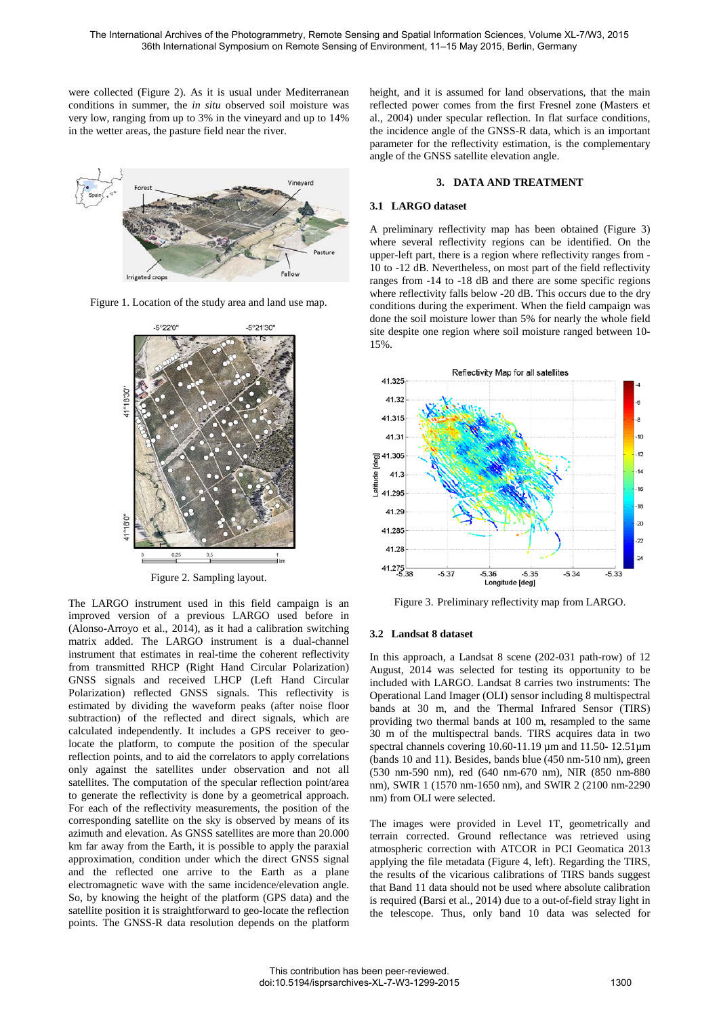were collected (Figure 2). As it is usual under Mediterranean conditions in summer, the *in situ* observed soil moisture was very low, ranging from up to 3% in the vineyard and up to 14% in the wetter areas, the pasture field near the river.



Figure 1. Location of the study area and land use map.



Figure 2. Sampling layout.

The LARGO instrument used in this field campaign is an improved version of a previous LARGO used before in (Alonso-Arroyo et al., 2014), as it had a calibration switching matrix added. The LARGO instrument is a dual-channel instrument that estimates in real-time the coherent reflectivity from transmitted RHCP (Right Hand Circular Polarization) GNSS signals and received LHCP (Left Hand Circular Polarization) reflected GNSS signals. This reflectivity is estimated by dividing the waveform peaks (after noise floor subtraction) of the reflected and direct signals, which are calculated independently. It includes a GPS receiver to geolocate the platform, to compute the position of the specular reflection points, and to aid the correlators to apply correlations only against the satellites under observation and not all satellites. The computation of the specular reflection point/area to generate the reflectivity is done by a geometrical approach. For each of the reflectivity measurements, the position of the corresponding satellite on the sky is observed by means of its azimuth and elevation. As GNSS satellites are more than 20.000 km far away from the Earth, it is possible to apply the paraxial approximation, condition under which the direct GNSS signal and the reflected one arrive to the Earth as a plane electromagnetic wave with the same incidence/elevation angle. So, by knowing the height of the platform (GPS data) and the satellite position it is straightforward to geo-locate the reflection points. The GNSS-R data resolution depends on the platform

height, and it is assumed for land observations, that the main reflected power comes from the first Fresnel zone (Masters et al., 2004) under specular reflection. In flat surface conditions, the incidence angle of the GNSS-R data, which is an important parameter for the reflectivity estimation, is the complementary angle of the GNSS satellite elevation angle.

#### **3. DATA AND TREATMENT**

#### **3.1 LARGO dataset**

A preliminary reflectivity map has been obtained (Figure 3) where several reflectivity regions can be identified. On the upper-left part, there is a region where reflectivity ranges from - 10 to -12 dB. Nevertheless, on most part of the field reflectivity ranges from -14 to -18 dB and there are some specific regions where reflectivity falls below -20 dB. This occurs due to the dry conditions during the experiment. When the field campaign was done the soil moisture lower than 5% for nearly the whole field site despite one region where soil moisture ranged between 10- 15%.



Figure 3. Preliminary reflectivity map from LARGO.

## **3.2 Landsat 8 dataset**

In this approach, a Landsat 8 scene (202-031 path-row) of 12 August, 2014 was selected for testing its opportunity to be included with LARGO. Landsat 8 carries two instruments: The Operational Land Imager (OLI) sensor including 8 multispectral bands at 30 m, and the Thermal Infrared Sensor (TIRS) providing two thermal bands at 100 m, resampled to the same 30 m of the multispectral bands. TIRS acquires data in two spectral channels covering 10.60-11.19 µm and 11.50-12.51µm (bands 10 and 11). Besides, bands blue (450 nm-510 nm), green (530 nm-590 nm), red (640 nm-670 nm), NIR (850 nm-880 nm), SWIR 1 (1570 nm-1650 nm), and SWIR 2 (2100 nm-2290 nm) from OLI were selected.

The images were provided in Level 1T, geometrically and terrain corrected. Ground reflectance was retrieved using atmospheric correction with ATCOR in PCI Geomatica 2013 applying the file metadata (Figure 4, left). Regarding the TIRS, the results of the vicarious calibrations of TIRS bands suggest that Band 11 data should not be used where absolute calibration is required (Barsi et al., 2014) due to a out-of-field stray light in the telescope. Thus, only band 10 data was selected for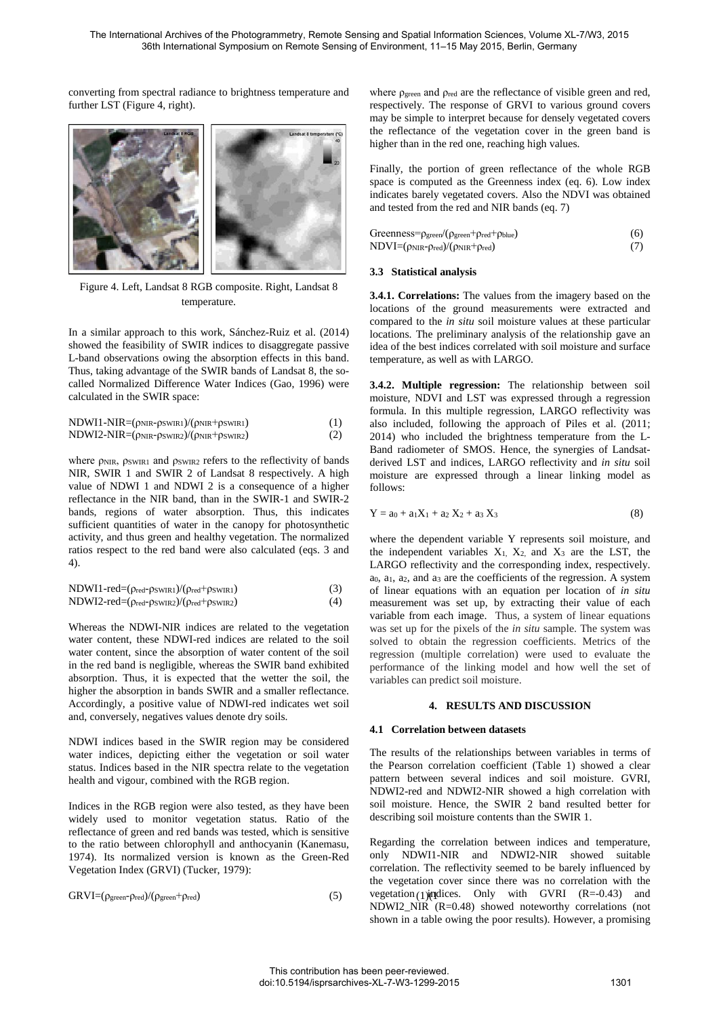converting from spectral radiance to brightness temperature and further LST (Figure 4, right).



Figure 4. Left, Landsat 8 RGB composite. Right, Landsat 8 temperature.

In a similar approach to this work, Sánchez-Ruiz et al. (2014) showed the feasibility of SWIR indices to disaggregate passive L-band observations owing the absorption effects in this band. Thus, taking advantage of the SWIR bands of Landsat 8, the socalled Normalized Difference Water Indices (Gao, 1996) were calculated in the SWIR space:

| $NDWI1-NIR = (\rho_{NIR} - \rho_{SWIR1})/(\rho_{NIR} + \rho_{SWIR1})$ | (1) |
|-----------------------------------------------------------------------|-----|
| $NDWI2-NIR = (\rho_{NIR} - \rho_{SWIR2})/(\rho_{NIR} + \rho_{SWIR2})$ | (2) |

where *ρ*NIR, *ρSWIR1* and *pSWIR2* refers to the reflectivity of bands NIR, SWIR 1 and SWIR 2 of Landsat 8 respectively. A high value of NDWI 1 and NDWI 2 is a consequence of a higher reflectance in the NIR band, than in the SWIR-1 and SWIR-2 bands, regions of water absorption. Thus, this indicates sufficient quantities of water in the canopy for photosynthetic activity, and thus green and healthy vegetation. The normalized ratios respect to the red band were also calculated (eqs. 3 and 4).

| $NDWI1-red=(\rho_{red}-\rho_{SWIR1})/(\rho_{red}+\rho_{SWIR1})$ | (3) |
|-----------------------------------------------------------------|-----|
| $NDWI2-red=(\rho_{red}-\rho_{SWIR2})/(\rho_{red}+\rho_{SWIR2})$ | (4) |

Whereas the NDWI-NIR indices are related to the vegetation water content, these NDWI-red indices are related to the soil water content, since the absorption of water content of the soil in the red band is negligible, whereas the SWIR band exhibited absorption. Thus, it is expected that the wetter the soil, the higher the absorption in bands SWIR and a smaller reflectance. Accordingly, a positive value of NDWI-red indicates wet soil and, conversely, negatives values denote dry soils.

NDWI indices based in the SWIR region may be considered water indices, depicting either the vegetation or soil water status. Indices based in the NIR spectra relate to the vegetation health and vigour, combined with the RGB region.

Indices in the RGB region were also tested, as they have been widely used to monitor vegetation status. Ratio of the reflectance of green and red bands was tested, which is sensitive to the ratio between chlorophyll and anthocyanin (Kanemasu, 1974). Its normalized version is known as the Green-Red Vegetation Index (GRVI) (Tucker, 1979):

$$
GRVI = (\rho_{green} - \rho_{red})/(\rho_{green} + \rho_{red})
$$
\n(5)

where  $\rho_{\text{green}}$  and  $\rho_{\text{red}}$  are the reflectance of visible green and red, respectively. The response of GRVI to various ground covers may be simple to interpret because for densely vegetated covers the reflectance of the vegetation cover in the green band is higher than in the red one, reaching high values.

Finally, the portion of green reflectance of the whole RGB space is computed as the Greenness index (eq. 6). Low index indicates barely vegetated covers. Also the NDVI was obtained and tested from the red and NIR bands (eq. 7)

| $Greenness = \rho_{green}/(\rho_{green} + \rho_{red} + \rho_{blue})$ | (6) |
|----------------------------------------------------------------------|-----|
| $NDVI = (\rho_{NIR} - \rho_{red})/(\rho_{NIR} + \rho_{red})$         |     |

### **3.3 Statistical analysis**

**3.4.1. Correlations:** The values from the imagery based on the locations of the ground measurements were extracted and compared to the *in situ* soil moisture values at these particular locations. The preliminary analysis of the relationship gave an idea of the best indices correlated with soil moisture and surface temperature, as well as with LARGO.

**3.4.2. Multiple regression:** The relationship between soil moisture, NDVI and LST was expressed through a regression formula. In this multiple regression, LARGO reflectivity was also included, following the approach of Piles et al. (2011; 2014) who included the brightness temperature from the L-Band radiometer of SMOS. Hence, the synergies of Landsatderived LST and indices, LARGO reflectivity and *in situ* soil moisture are expressed through a linear linking model as follows:

$$
Y = a_0 + a_1 X_1 + a_2 X_2 + a_3 X_3 \tag{8}
$$

where the dependent variable Y represents soil moisture, and the independent variables  $X_1$ ,  $X_2$ , and  $X_3$  are the LST, the LARGO reflectivity and the corresponding index, respectively. a0, a1, a2, and a3 are the coefficients of the regression. A system of linear equations with an equation per location of *in situ* measurement was set up, by extracting their value of each variable from each image. Thus, a system of linear equations was set up for the pixels of the *in situ* sample. The system was solved to obtain the regression coefficients. Metrics of the regression (multiple correlation) were used to evaluate the performance of the linking model and how well the set of variables can predict soil moisture.

## **4. RESULTS AND DISCUSSION**

## **4.1 Correlation between datasets**

The results of the relationships between variables in terms of the Pearson correlation coefficient (Table 1) showed a clear pattern between several indices and soil moisture. GVRI, NDWI2-red and NDWI2-NIR showed a high correlation with soil moisture. Hence, the SWIR 2 band resulted better for describing soil moisture contents than the SWIR 1.

 $GRVI = (p_{green}\cdot p_{red})/(p_{green}+p_{red})$  (5) vegetation (1)(numbers). Only with GVRI (R=-0.43) and Regarding the correlation between indices and temperature, only NDWI1-NIR and NDWI2-NIR showed suitable correlation. The reflectivity seemed to be barely influenced by the vegetation cover since there was no correlation with the NDWI2\_NIR (R=0.48) showed noteworthy correlations (not shown in a table owing the poor results). However, a promising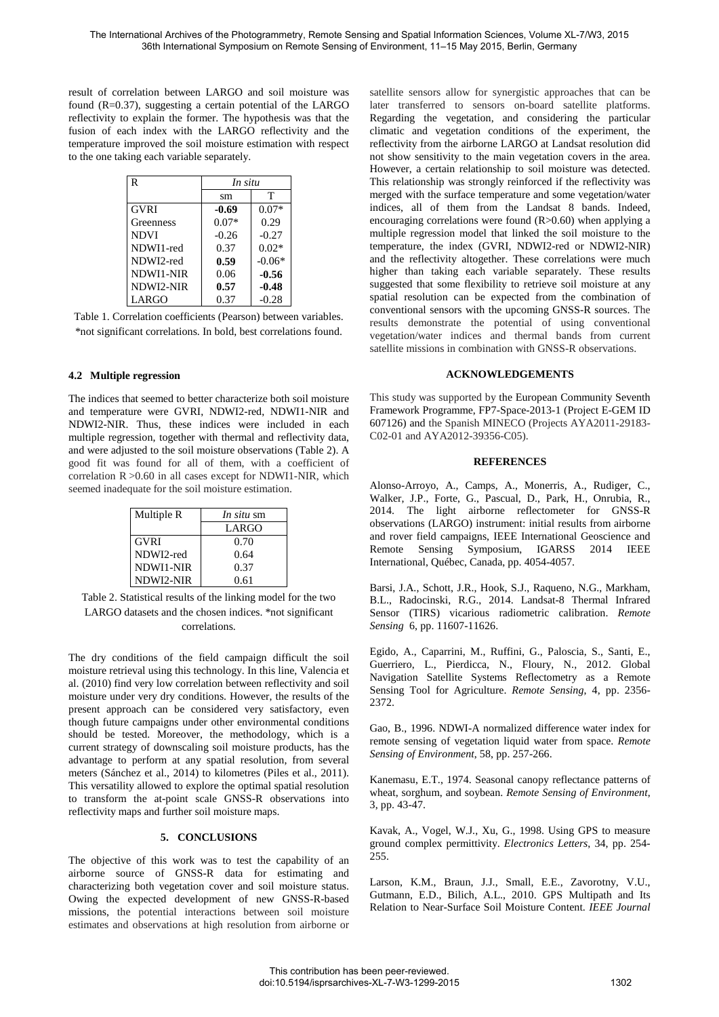result of correlation between LARGO and soil moisture was found  $(R=0.37)$ , suggesting a certain potential of the LARGO reflectivity to explain the former. The hypothesis was that the fusion of each index with the LARGO reflectivity and the temperature improved the soil moisture estimation with respect to the one taking each variable separately.

| R           | In situ |          |
|-------------|---------|----------|
|             | sm      | т        |
| GVRI        | $-0.69$ | $0.07*$  |
| Greenness   | $0.07*$ | 0.29     |
| <b>NDVI</b> | $-0.26$ | $-0.27$  |
| NDWI1-red   | 0.37    | $0.02*$  |
| NDWI2-red   | 0.59    | $-0.06*$ |
| NDWI1-NIR   | 0.06    | $-0.56$  |
| NDWI2-NIR   | 0.57    | $-0.48$  |
| LARGO       | 0.37    | $-0.28$  |

Table 1. Correlation coefficients (Pearson) between variables. \*not significant correlations. In bold, best correlations found.

## **4.2 Multiple regression**

The indices that seemed to better characterize both soil moisture and temperature were GVRI, NDWI2-red, NDWI1-NIR and NDWI2-NIR. Thus, these indices were included in each multiple regression, together with thermal and reflectivity data, and were adjusted to the soil moisture observations (Table 2). A good fit was found for all of them, with a coefficient of correlation  $R > 0.60$  in all cases except for NDWI1-NIR, which seemed inadequate for the soil moisture estimation.

| Multiple R  | <i>In situ sm</i> |  |
|-------------|-------------------|--|
|             | LARGO             |  |
| <b>GVRI</b> | 0.70              |  |
| NDWI2-red   | 0.64              |  |
| NDWI1-NIR   | 0.37              |  |
| NDWI2-NIR   | 0.61              |  |

Table 2. Statistical results of the linking model for the two LARGO datasets and the chosen indices. \*not significant correlations.

The dry conditions of the field campaign difficult the soil moisture retrieval using this technology. In this line, Valencia et al. (2010) find very low correlation between reflectivity and soil moisture under very dry conditions. However, the results of the present approach can be considered very satisfactory, even though future campaigns under other environmental conditions should be tested. Moreover, the methodology, which is a current strategy of downscaling soil moisture products, has the advantage to perform at any spatial resolution, from several meters (Sánchez et al., 2014) to kilometres (Piles et al., 2011). This versatility allowed to explore the optimal spatial resolution to transform the at-point scale GNSS-R observations into reflectivity maps and further soil moisture maps.

## **5. CONCLUSIONS**

The objective of this work was to test the capability of an airborne source of GNSS-R data for estimating and characterizing both vegetation cover and soil moisture status. Owing the expected development of new GNSS-R-based missions, the potential interactions between soil moisture estimates and observations at high resolution from airborne or satellite sensors allow for synergistic approaches that can be later transferred to sensors on-board satellite platforms. Regarding the vegetation, and considering the particular climatic and vegetation conditions of the experiment, the reflectivity from the airborne LARGO at Landsat resolution did not show sensitivity to the main vegetation covers in the area. However, a certain relationship to soil moisture was detected. This relationship was strongly reinforced if the reflectivity was merged with the surface temperature and some vegetation/water indices, all of them from the Landsat 8 bands. Indeed, encouraging correlations were found  $(R>0.60)$  when applying a multiple regression model that linked the soil moisture to the temperature, the index (GVRI, NDWI2-red or NDWI2-NIR) and the reflectivity altogether. These correlations were much higher than taking each variable separately. These results suggested that some flexibility to retrieve soil moisture at any spatial resolution can be expected from the combination of conventional sensors with the upcoming GNSS-R sources. The results demonstrate the potential of using conventional vegetation/water indices and thermal bands from current satellite missions in combination with GNSS-R observations.

## **ACKNOWLEDGEMENTS**

This study was supported by the European Community Seventh Framework Programme, FP7-Space-2013-1 (Project E-GEM ID 607126) and the Spanish MINECO (Projects AYA2011-29183- C02-01 and AYA2012-39356-C05).

## **REFERENCES**

Alonso-Arroyo, A., Camps, A., Monerris, A., Rudiger, C., Walker, J.P., Forte, G., Pascual, D., Park, H., Onrubia, R., 2014. The light airborne reflectometer for GNSS-R observations (LARGO) instrument: initial results from airborne and rover field campaigns, IEEE International Geoscience and Remote Sensing Symposium, IGARSS 2014 IEEE International, Québec, Canada, pp. 4054-4057.

Barsi, J.A., Schott, J.R., Hook, S.J., Raqueno, N.G., Markham, B.L., Radocinski, R.G., 2014. Landsat-8 Thermal Infrared Sensor (TIRS) vicarious radiometric calibration. *Remote Sensing* 6, pp. 11607-11626.

Egido, A., Caparrini, M., Ruffini, G., Paloscia, S., Santi, E., Guerriero, L., Pierdicca, N., Floury, N., 2012. Global Navigation Satellite Systems Reflectometry as a Remote Sensing Tool for Agriculture. *Remote Sensing*, 4, pp. 2356- 2372.

Gao, B., 1996. NDWI-A normalized difference water index for remote sensing of vegetation liquid water from space. *Remote Sensing of Environment*, 58, pp. 257-266.

Kanemasu, E.T., 1974. Seasonal canopy reflectance patterns of wheat, sorghum, and soybean. *Remote Sensing of Environment*, 3, pp. 43-47.

Kavak, A., Vogel, W.J., Xu, G., 1998. Using GPS to measure ground complex permittivity. *Electronics Letters*, 34, pp. 254- 255.

Larson, K.M., Braun, J.J., Small, E.E., Zavorotny, V.U., Gutmann, E.D., Bilich, A.L., 2010. GPS Multipath and Its Relation to Near-Surface Soil Moisture Content. *IEEE Journal*